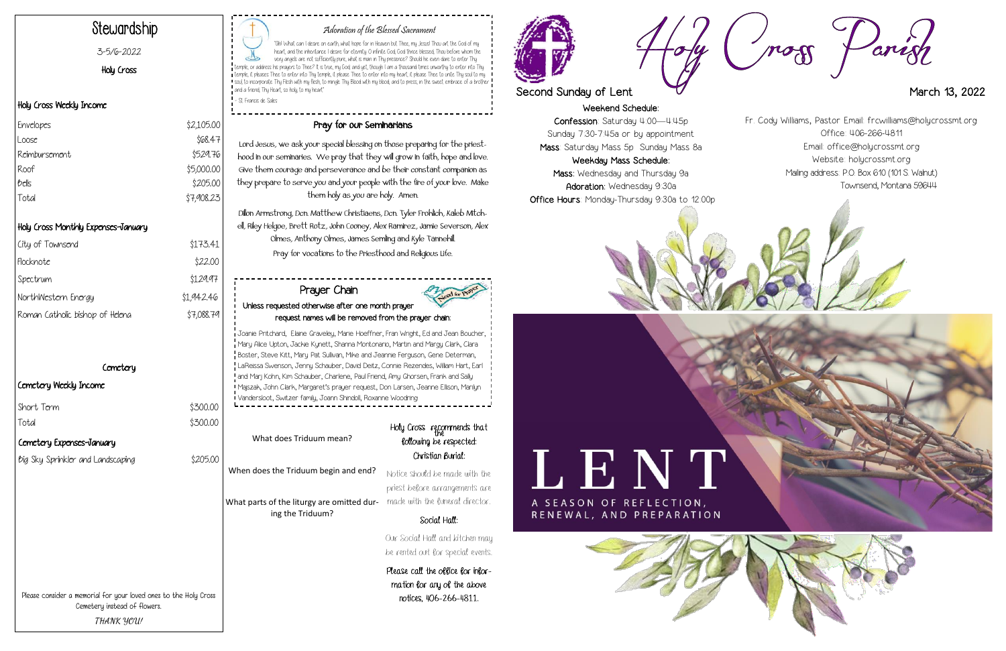Weekend Schedule: Confession: Saturday 4:00—4:45p Sunday 7:30-7:45a or by appointment Mass: Saturday Mass 5p Sunday Mass 8a Weekday Mass Schedule:

Mass: Wednesday and Thursday 9a Adoration: Wednesday 9:30a Office Hours: Monday-Thursday 9:30a to 12:00p









# Adoration of the Blessed Sacrament

"Ah! What can I desire on earth, what hope for in Heaven but Thee, my Jesus! Thou art the God of my heart, and the inheritance I desire for eternity. O infinite God, God thrice blessed, Thou before whom the very angels are not sufficiently pure, what is man in Thy presence? Should he even dare to enter Thy temple, or address his prayers to Thee? It is true, my God; and yet, though I am a thousand times unworthy to enter into Thy temple, it pleases Thee to enter into Thy temple, it please Thee to enter into my heart; it please Thee to unite Thy soul to my soul, to incorporate Thy Flesh with my flesh, to mingle Thy Blood with my blood, and to press, in the sweet embrace of a brother and a friend, Thy Heart, so holy, to my heart"

- St. Francis de Sales

# Stewardship

### 3-5/6-2022

Holy Cross

## Holy Cross Weekly Income

# Holy Cross Monthly Expenses-January

What parts of the liturgy are omitted dur- made with the funeral director. ing the Triduum?

# Holy Cross recommends that following be respected: Christian Burial:

| City of Townsend                | \$173.41   |
|---------------------------------|------------|
| Flocknote                       | \$22.00    |
| Spectrum                        | \$129.97   |
| NorthWestern Energy             | \$1,942.46 |
| Roman Catholic bishop of Helena | \$7,088.79 |
|                                 |            |

# **Cemetery**

 $$300.00$  $$300.00$ 

# Cemetery Weekly Income

| Short Term |  |  |
|------------|--|--|
| Total      |  |  |

# Pray for our Seminarians

Lord Jesus, we ask your special blessing on those preparing for the priesthood in our seminaries. We pray that they will grow in faith, hope and love. Give them courage and perseverance and be their constant companion as they prepare to serve you and your people with the fire of your love. Make them holy as you are holy. Amen.

Dillon Armstrong, Dcn. Matthew Christiaens, Dcn. Tyler Frohlich, Kaleb Mitchell, Riley Helgoe, Brett Rotz, John Cooney, Alex Ramirez, Jamie Severson, Alex Olmes, Anthony Olmes, James Semling and Kyle Tannehill. Pray for vocations to the Priesthood and Religious Life.

| \$2,105.00 |
|------------|
| \$68.47    |
| \$529.76   |
| \$5,000.00 |
| \$205.00   |
| \$7,908.23 |
|            |

Please consider a memorial for your loved ones to the Holy Cross Cemetery instead of flowers. **THANK YOU!**

What does Triduum mean?

When does the Triduum begin and end?

Notice should be made with the priest before arrangements are

# Social Hall:

Our Social Hall and kitchen may be rented out for special events.

Please call the office for information for any of the above notices, 406-266-4811.





# Second Sunday of Lent March 13, 2022

# Prayer Chain Unless requested otherwise after one month prayer request names will be removed from the prayer chain:

Joanie Pritchard, Elaine Graveley, Marie Hoeffner, Fran Wright, Ed and Jean Boucher, Mary Alice Upton, Jackie Kynett, Shanna Montonario, Martin and Margy Clark, Clara Boster, Steve Kitt, Mary Pat Sullivan, Mike and Jeannie Ferguson, Gene Determan, LaReissa Swenson, Jenny Schauber, David Deitz, Connie Rezendes, William Hart, Earl and Marj Kohn, Kim Schauber, Charlene, Paul Friend, Amy Ghorsen, Frank and Sally Majszak, John Clark, Margaret's prayer request, Don Larsen, Jeanne Ellison, Marilyn Vandersloot, Switzer family, Joann Shindoll, Roxanne Woodring

Fr. Cody Williams, Pastor Email: frcwilliams@holycrossmt.org Office: 406-266-4811 Email: office@holycrossmt.org Website: holycrossmt.org Mailing address: P.O. Box 610 (101 S. Walnut) Townsend, Montana 59644

Cemetery Expenses-January

big Sky Sprinkler and Landscaping \$205.00